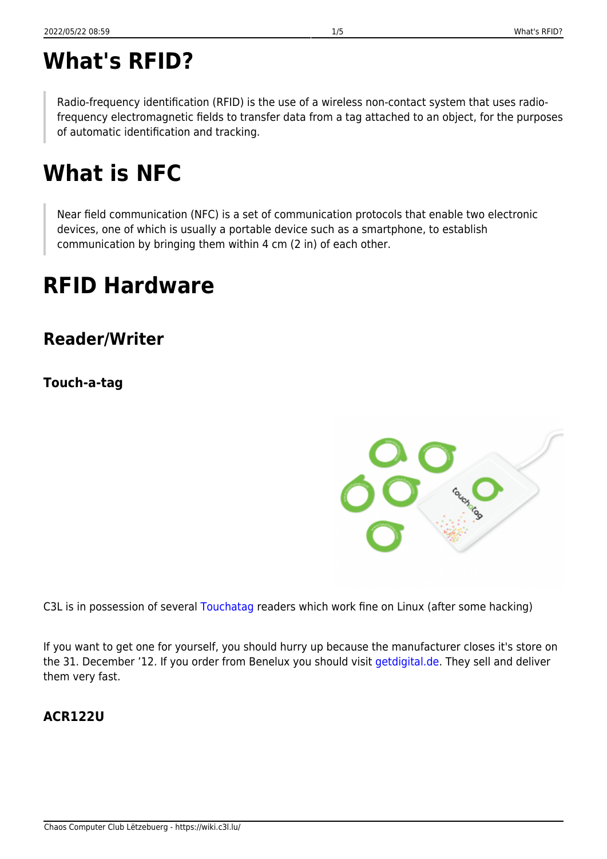# **What's RFID?**

Radio-frequency identification (RFID) is the use of a wireless non-contact system that uses radiofrequency electromagnetic fields to transfer data from a tag attached to an object, for the purposes of automatic identification and tracking.

# **What is NFC**

Near field communication (NFC) is a set of communication protocols that enable two electronic devices, one of which is usually a portable device such as a smartphone, to establish communication by bringing them within 4 cm (2 in) of each other.

# **RFID Hardware**

**Reader/Writer**

**Touch-a-tag**

C3L is in possession of several [Touchatag](http://www.touchatag.com) readers which work fine on Linux (after some hacking)

If you want to get one for yourself, you should hurry up because the manufacturer closes it's store on the 31. December '12. If you order from Benelux you should visit [getdigital.de.](http://www.getdigital.de/products/Touchatag) They sell and deliver them very fast.

### **ACR122U**

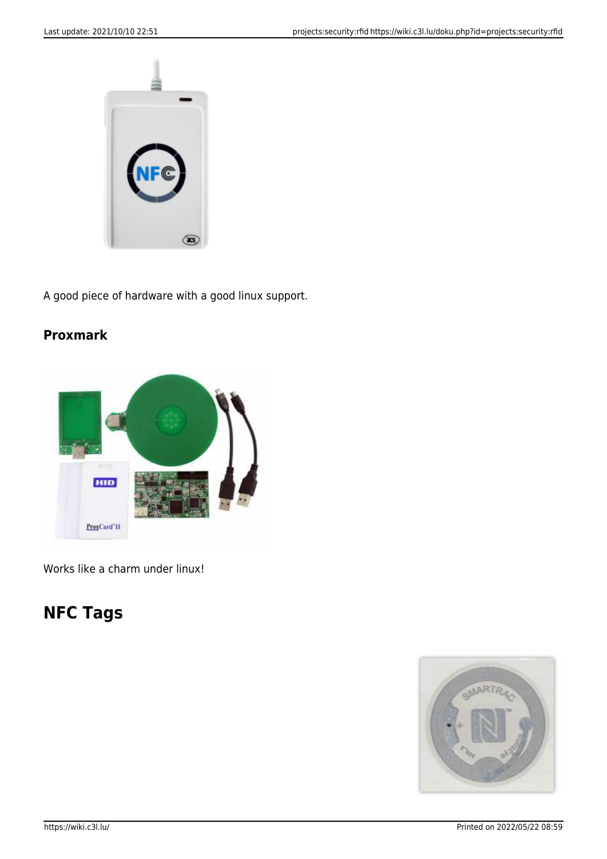

A good piece of hardware with a good linux support.

### **Proxmark**



Works like a charm under linux!

# **NFC Tags**

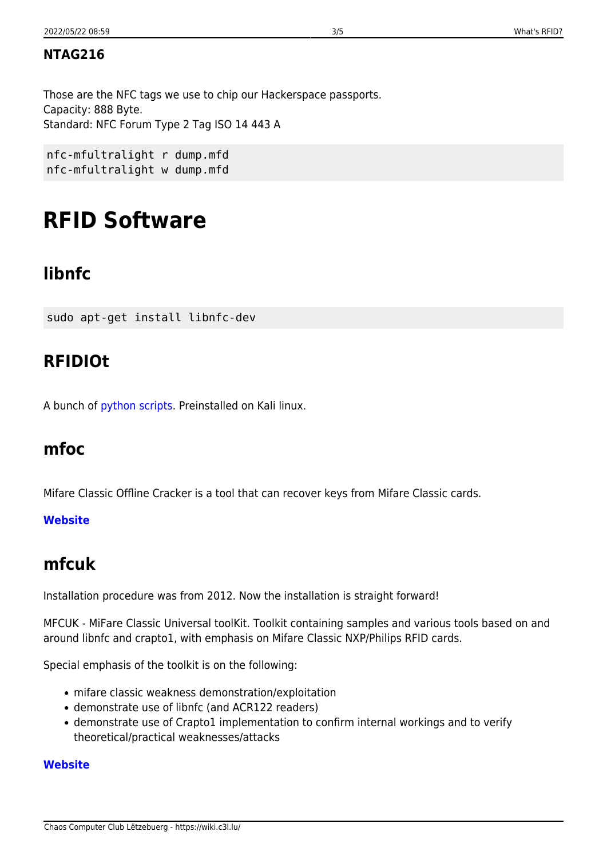### **NTAG216**

Those are the NFC tags we use to chip our Hackerspace passports. Capacity: 888 Byte. Standard: NFC Forum Type 2 Tag ISO 14 443 A

nfc-mfultralight r dump.mfd nfc-mfultralight w dump.mfd

# **RFID Software**

## **libnfc**

sudo apt-get install libnfc-dev

## **RFIDIOt**

A bunch of [python scripts](https://github.com/AdamLaurie/RFIDIOt). Preinstalled on Kali linux.

## **mfoc**

Mifare Classic Offline Cracker is a tool that can recover keys from Mifare Classic cards.

#### **[Website](http://code.google.com/p/nfc-tools/wiki/mfoc)**

## **mfcuk**

Installation procedure was from 2012. Now the installation is straight forward!

MFCUK - MiFare Classic Universal toolKit. Toolkit containing samples and various tools based on and around libnfc and crapto1, with emphasis on Mifare Classic NXP/Philips RFID cards.

Special emphasis of the toolkit is on the following:

- mifare classic weakness demonstration/exploitation
- demonstrate use of libnfc (and ACR122 readers)
- demonstrate use of Crapto1 implementation to confirm internal workings and to verify theoretical/practical weaknesses/attacks

#### **[Website](http://code.google.com/p/mfcuk/)**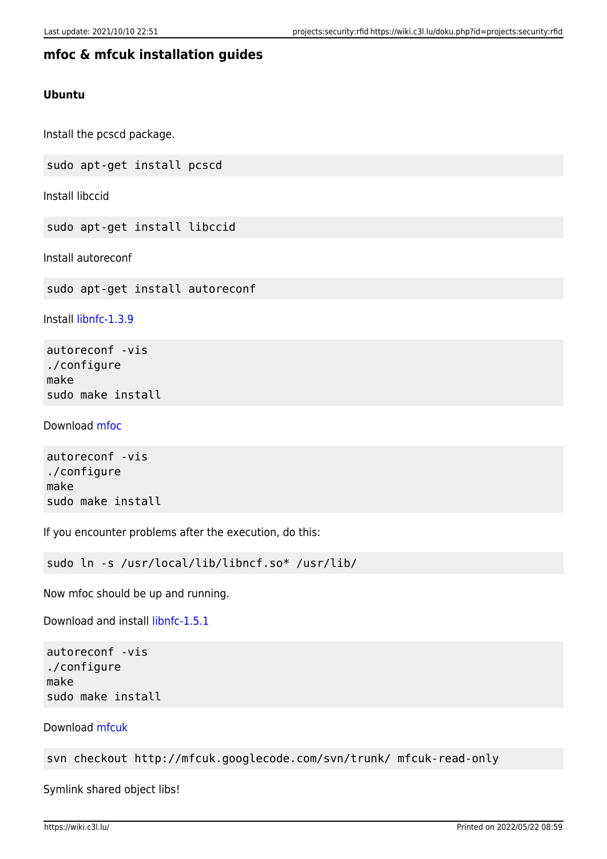#### **mfoc & mfcuk installation guides**

#### **Ubuntu**

Install the pcscd package.

sudo apt-get install pcscd

Install libccid

sudo apt-get install libccid

Install autoreconf

sudo apt-get install autoreconf

Install [libnfc-1.3.9](http://libnfc.googlecode.com/files/libnfc-1.3.9.tar.gz)

autoreconf -vis ./configure make sudo make install

Download [mfoc](http://nfc-tools.googlecode.com/files/mfoc-0.09.tar.gz)

autoreconf -vis ./configure make sudo make install

If you encounter problems after the execution, do this:

sudo ln -s /usr/local/lib/libncf.so\* /usr/lib/

Now mfoc should be up and running.

Download and install [libnfc-1.5.1](http://libnfc.googlecode.com/files/libnfc-1.5.1.tar.gz)

```
autoreconf -vis
./configure
make
sudo make install
```
Download [mfcuk](http://code.google.com/p/mfcuk/)

svn checkout http://mfcuk.googlecode.com/svn/trunk/ mfcuk-read-only

Symlink shared object libs!